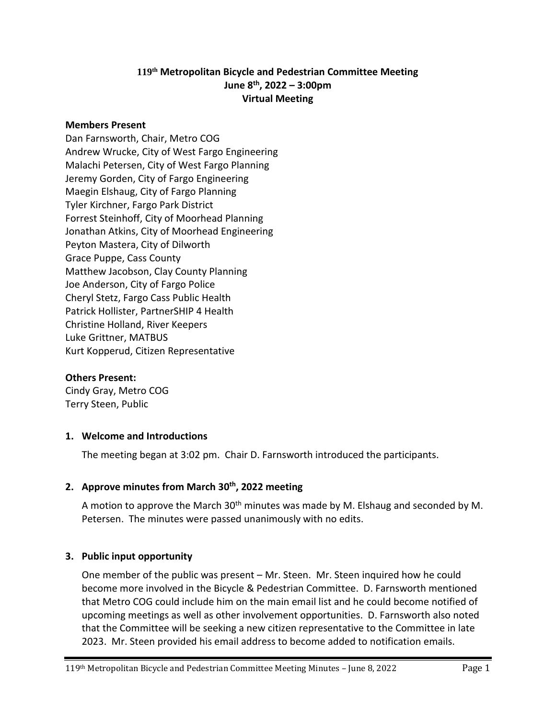# **119 th Metropolitan Bicycle and Pedestrian Committee Meeting June 8th, 2022 – 3:00pm Virtual Meeting**

#### **Members Present**

Dan Farnsworth, Chair, Metro COG Andrew Wrucke, City of West Fargo Engineering Malachi Petersen, City of West Fargo Planning Jeremy Gorden, City of Fargo Engineering Maegin Elshaug, City of Fargo Planning Tyler Kirchner, Fargo Park District Forrest Steinhoff, City of Moorhead Planning Jonathan Atkins, City of Moorhead Engineering Peyton Mastera, City of Dilworth Grace Puppe, Cass County Matthew Jacobson, Clay County Planning Joe Anderson, City of Fargo Police Cheryl Stetz, Fargo Cass Public Health Patrick Hollister, PartnerSHIP 4 Health Christine Holland, River Keepers Luke Grittner, MATBUS Kurt Kopperud, Citizen Representative

#### **Others Present:**

Cindy Gray, Metro COG Terry Steen, Public

### **1. Welcome and Introductions**

The meeting began at 3:02 pm. Chair D. Farnsworth introduced the participants.

### **2. Approve minutes from March 30th, 2022 meeting**

A motion to approve the March 30<sup>th</sup> minutes was made by M. Elshaug and seconded by M. Petersen. The minutes were passed unanimously with no edits.

### **3. Public input opportunity**

One member of the public was present – Mr. Steen. Mr. Steen inquired how he could become more involved in the Bicycle & Pedestrian Committee. D. Farnsworth mentioned that Metro COG could include him on the main email list and he could become notified of upcoming meetings as well as other involvement opportunities. D. Farnsworth also noted that the Committee will be seeking a new citizen representative to the Committee in late 2023. Mr. Steen provided his email address to become added to notification emails.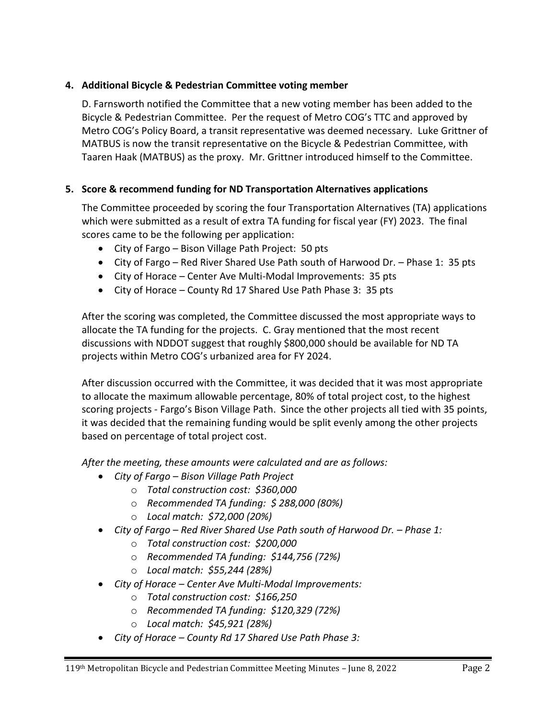# **4. Additional Bicycle & Pedestrian Committee voting member**

D. Farnsworth notified the Committee that a new voting member has been added to the Bicycle & Pedestrian Committee. Per the request of Metro COG's TTC and approved by Metro COG's Policy Board, a transit representative was deemed necessary. Luke Grittner of MATBUS is now the transit representative on the Bicycle & Pedestrian Committee, with Taaren Haak (MATBUS) as the proxy. Mr. Grittner introduced himself to the Committee.

# **5. Score & recommend funding for ND Transportation Alternatives applications**

The Committee proceeded by scoring the four Transportation Alternatives (TA) applications which were submitted as a result of extra TA funding for fiscal year (FY) 2023. The final scores came to be the following per application:

- City of Fargo Bison Village Path Project: 50 pts
- City of Fargo Red River Shared Use Path south of Harwood Dr. Phase 1: 35 pts
- City of Horace Center Ave Multi-Modal Improvements: 35 pts
- City of Horace County Rd 17 Shared Use Path Phase 3: 35 pts

After the scoring was completed, the Committee discussed the most appropriate ways to allocate the TA funding for the projects. C. Gray mentioned that the most recent discussions with NDDOT suggest that roughly \$800,000 should be available for ND TA projects within Metro COG's urbanized area for FY 2024.

After discussion occurred with the Committee, it was decided that it was most appropriate to allocate the maximum allowable percentage, 80% of total project cost, to the highest scoring projects - Fargo's Bison Village Path. Since the other projects all tied with 35 points, it was decided that the remaining funding would be split evenly among the other projects based on percentage of total project cost.

*After the meeting, these amounts were calculated and are as follows:*

- *City of Fargo – Bison Village Path Project*
	- o *Total construction cost: \$360,000*
	- o *Recommended TA funding: \$ 288,000 (80%)*
	- o *Local match: \$72,000 (20%)*
- **•** City of Fargo Red River Shared Use Path south of Harwood Dr. Phase 1:
	- o *Total construction cost: \$200,000*
	- o *Recommended TA funding: \$144,756 (72%)*
	- o *Local match: \$55,244 (28%)*
- *City of Horace – Center Ave Multi-Modal Improvements:* 
	- o *Total construction cost: \$166,250*
	- o *Recommended TA funding: \$120,329 (72%)*
	- o *Local match: \$45,921 (28%)*
- *City of Horace – County Rd 17 Shared Use Path Phase 3:*